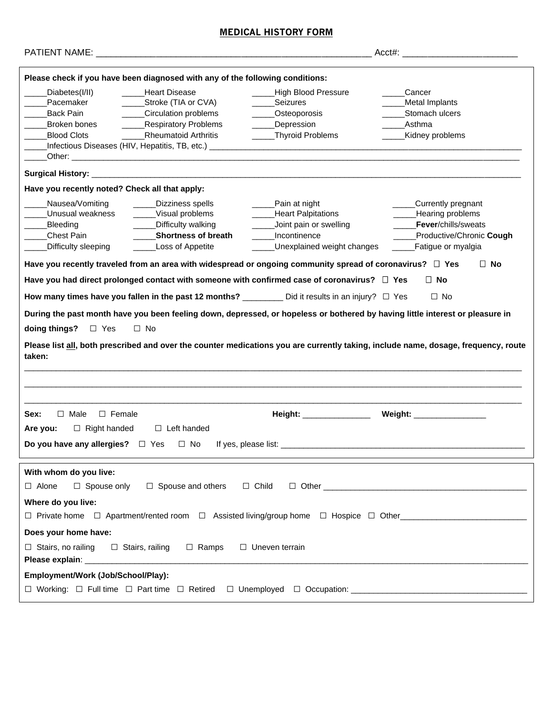# **MEDICAL HISTORY FORM**

| $Acct#$ :                                                                                                                                                                                                                                                                                                                                                                                                                                                                    |                                                                                                                                                                                                                                                                                                                                                                                                                                                           |                                                                                                                   |                                                                                                                                                                                                                                                                                                                                                                                                                                  |  |
|------------------------------------------------------------------------------------------------------------------------------------------------------------------------------------------------------------------------------------------------------------------------------------------------------------------------------------------------------------------------------------------------------------------------------------------------------------------------------|-----------------------------------------------------------------------------------------------------------------------------------------------------------------------------------------------------------------------------------------------------------------------------------------------------------------------------------------------------------------------------------------------------------------------------------------------------------|-------------------------------------------------------------------------------------------------------------------|----------------------------------------------------------------------------------------------------------------------------------------------------------------------------------------------------------------------------------------------------------------------------------------------------------------------------------------------------------------------------------------------------------------------------------|--|
| Please check if you have been diagnosed with any of the following conditions:                                                                                                                                                                                                                                                                                                                                                                                                |                                                                                                                                                                                                                                                                                                                                                                                                                                                           |                                                                                                                   |                                                                                                                                                                                                                                                                                                                                                                                                                                  |  |
| Diabetes(I/II)<br>Pacemaker<br><b>Back Pain</b><br>Broken bones<br><b>Blood Clots</b>                                                                                                                                                                                                                                                                                                                                                                                        | <b>Heart Disease</b><br>_Stroke (TIA or CVA)<br>_Circulation problems<br><b>Respiratory Problems</b><br><b>Rheumatoid Arthritis</b><br>Infectious Diseases (HIV, Hepatitis, TB, etc.) _________________________________<br>Other: experience of the contract of the contract of the contract of the contract of the contract of the contract of the contract of the contract of the contract of the contract of the contract of the contract of the contr | High Blood Pressure<br>Seizures<br>Osteoporosis<br>_Depression<br>_Thyroid Problems<br>$\mathcal{L}^{\text{max}}$ | Cancer<br>Metal Implants<br>Stomach ulcers<br>Asthma<br>Kidney problems                                                                                                                                                                                                                                                                                                                                                          |  |
| Surgical History: _                                                                                                                                                                                                                                                                                                                                                                                                                                                          |                                                                                                                                                                                                                                                                                                                                                                                                                                                           |                                                                                                                   |                                                                                                                                                                                                                                                                                                                                                                                                                                  |  |
| Have you recently noted? Check all that apply:                                                                                                                                                                                                                                                                                                                                                                                                                               |                                                                                                                                                                                                                                                                                                                                                                                                                                                           |                                                                                                                   |                                                                                                                                                                                                                                                                                                                                                                                                                                  |  |
| Nausea/Vomiting<br>Unusual weakness<br>Bleeding<br>Chest Pain<br>Difficulty sleeping<br>Have you recently traveled from an area with widespread or ongoing community spread of coronavirus? $\Box$ Yes<br>Have you had direct prolonged contact with someone with confirmed case of coronavirus? $\Box$ Yes<br>How many times have you fallen in the past 12 months? $\_\_\_\_\_$ Did it results in an injury? $\Box$ Yes<br>doing things? $\Box$ Yes<br>$\Box$ No<br>taken: | Dizziness spells<br>Visual problems<br>Difficulty walking<br><b>Shortness of breath</b><br>Loss of Appetite                                                                                                                                                                                                                                                                                                                                               | Pain at night<br>Heart Palpitations<br>Joint pain or swelling<br>Incontinence<br>Unexplained weight changes       | ___Currently pregnant<br>Hearing problems<br>Fever/chills/sweats<br>Productive/Chronic Cough<br>Fatigue or myalgia<br>$\Box$ No<br>$\Box$ No<br>$\Box$ No<br>During the past month have you been feeling down, depressed, or hopeless or bothered by having little interest or pleasure in<br>Please list all, both prescribed and over the counter medications you are currently taking, include name, dosage, frequency, route |  |
| $\Box$ Male<br>$\Box$ Female                                                                                                                                                                                                                                                                                                                                                                                                                                                 |                                                                                                                                                                                                                                                                                                                                                                                                                                                           | Height: _______________                                                                                           |                                                                                                                                                                                                                                                                                                                                                                                                                                  |  |
| Sex:<br>$\Box$ Right handed<br>Are you:                                                                                                                                                                                                                                                                                                                                                                                                                                      | $\Box$ Left handed                                                                                                                                                                                                                                                                                                                                                                                                                                        |                                                                                                                   | Weight: __________________                                                                                                                                                                                                                                                                                                                                                                                                       |  |
| Do you have any allergies? $\Box$ Yes $\Box$ No<br>If yes, please list:                                                                                                                                                                                                                                                                                                                                                                                                      |                                                                                                                                                                                                                                                                                                                                                                                                                                                           |                                                                                                                   |                                                                                                                                                                                                                                                                                                                                                                                                                                  |  |
| With whom do you live:<br>$\Box$ Spouse and others $\Box$ Child<br>$\Box$ Alone<br>$\Box$ Spouse only<br>Where do you live:<br>Does your home have:                                                                                                                                                                                                                                                                                                                          |                                                                                                                                                                                                                                                                                                                                                                                                                                                           |                                                                                                                   |                                                                                                                                                                                                                                                                                                                                                                                                                                  |  |
| $\Box$ Stairs, no railing $\Box$ Stairs, railing<br>$\Box$ Ramps<br>$\Box$ Uneven terrain                                                                                                                                                                                                                                                                                                                                                                                    |                                                                                                                                                                                                                                                                                                                                                                                                                                                           |                                                                                                                   |                                                                                                                                                                                                                                                                                                                                                                                                                                  |  |
| Employment/Work (Job/School/Play):                                                                                                                                                                                                                                                                                                                                                                                                                                           |                                                                                                                                                                                                                                                                                                                                                                                                                                                           |                                                                                                                   |                                                                                                                                                                                                                                                                                                                                                                                                                                  |  |
| $\Box$ Working: $\Box$ Full time $\Box$ Part time $\Box$ Retired                                                                                                                                                                                                                                                                                                                                                                                                             |                                                                                                                                                                                                                                                                                                                                                                                                                                                           |                                                                                                                   |                                                                                                                                                                                                                                                                                                                                                                                                                                  |  |